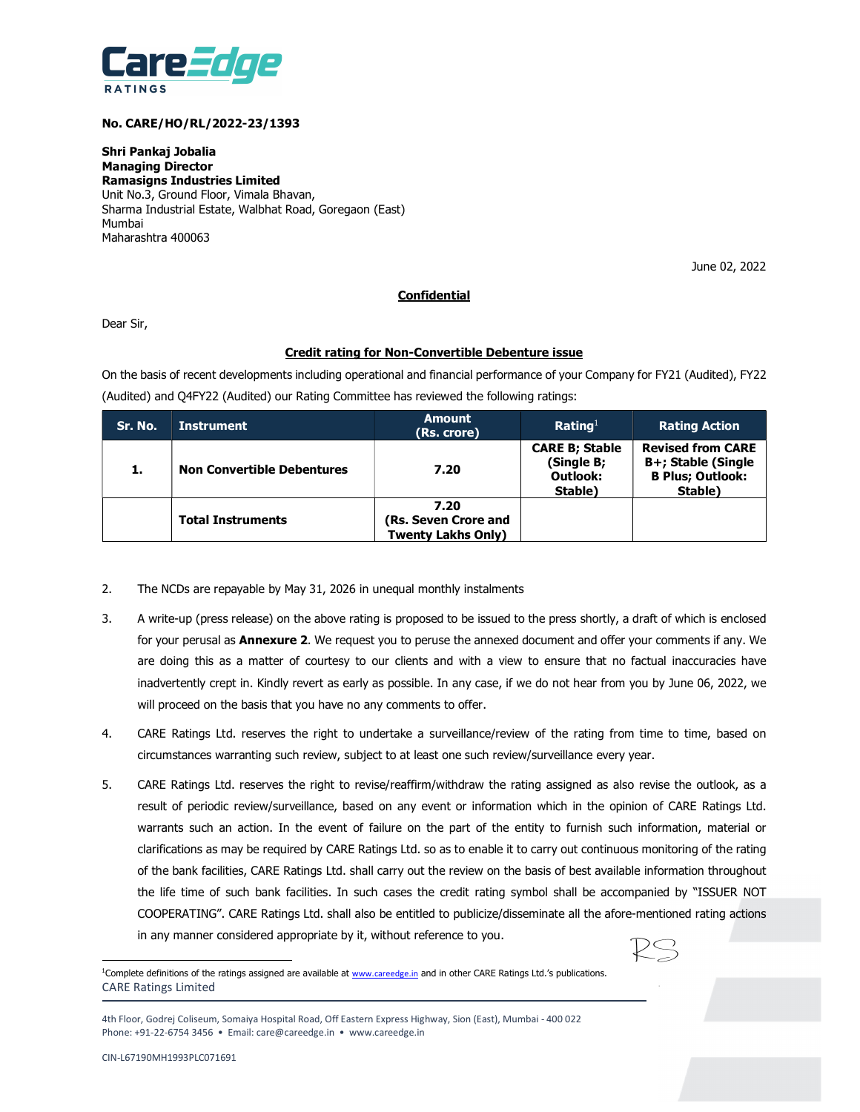

# No. CARE/HO/RL/2022-23/1393

Shri Pankaj Jobalia Managing Director Ramasigns Industries Limited Unit No.3, Ground Floor, Vimala Bhavan, Sharma Industrial Estate, Walbhat Road, Goregaon (East) Mumbai Maharashtra 400063

June 02, 2022

# **Confidential**

Dear Sir,

# Credit rating for Non-Convertible Debenture issue

On the basis of recent developments including operational and financial performance of your Company for FY21 (Audited), FY22 (Audited) and Q4FY22 (Audited) our Rating Committee has reviewed the following ratings:

| Sr. No. | <b>Instrument</b>                 | <b>Amount</b><br>(Rs. crore)                       | Rating <sup>1</sup>                                        | <b>Rating Action</b>                                                                 |
|---------|-----------------------------------|----------------------------------------------------|------------------------------------------------------------|--------------------------------------------------------------------------------------|
| . .     | <b>Non Convertible Debentures</b> | 7.20                                               | <b>CARE B; Stable</b><br>(Single B;<br>Outlook:<br>Stable) | <b>Revised from CARE</b><br>B+; Stable (Single<br><b>B Plus; Outlook:</b><br>Stable) |
|         | <b>Total Instruments</b>          | 7.20<br>(Rs. Seven Crore and<br>Twenty Lakhs Only) |                                                            |                                                                                      |

- 2. The NCDs are repayable by May 31, 2026 in unequal monthly instalments
- 3. A write-up (press release) on the above rating is proposed to be issued to the press shortly, a draft of which is enclosed for your perusal as **Annexure 2**. We request you to peruse the annexed document and offer your comments if any. We are doing this as a matter of courtesy to our clients and with a view to ensure that no factual inaccuracies have inadvertently crept in. Kindly revert as early as possible. In any case, if we do not hear from you by June 06, 2022, we will proceed on the basis that you have no any comments to offer.
- 4. CARE Ratings Ltd. reserves the right to undertake a surveillance/review of the rating from time to time, based on circumstances warranting such review, subject to at least one such review/surveillance every year.
- 5. CARE Ratings Ltd. reserves the right to revise/reaffirm/withdraw the rating assigned as also revise the outlook, as a result of periodic review/surveillance, based on any event or information which in the opinion of CARE Ratings Ltd. warrants such an action. In the event of failure on the part of the entity to furnish such information, material or clarifications as may be required by CARE Ratings Ltd. so as to enable it to carry out continuous monitoring of the rating of the bank facilities, CARE Ratings Ltd. shall carry out the review on the basis of best available information throughout the life time of such bank facilities. In such cases the credit rating symbol shall be accompanied by "ISSUER NOT COOPERATING". CARE Ratings Ltd. shall also be entitled to publicize/disseminate all the afore-mentioned rating actions in any manner considered appropriate by it, without reference to you.



CARE Ratings Limited <sup>1</sup>Complete definitions of the ratings assigned are available at www.careedge.in and in other CARE Ratings Ltd.'s publications.

 $\overline{a}$ 

<sup>4</sup>th Floor, Godrej Coliseum, Somaiya Hospital Road, Off Eastern Express Highway, Sion (East), Mumbai - 400 022 Phone: +91-22-6754 3456 • Email: care@careedge.in • www.careedge.in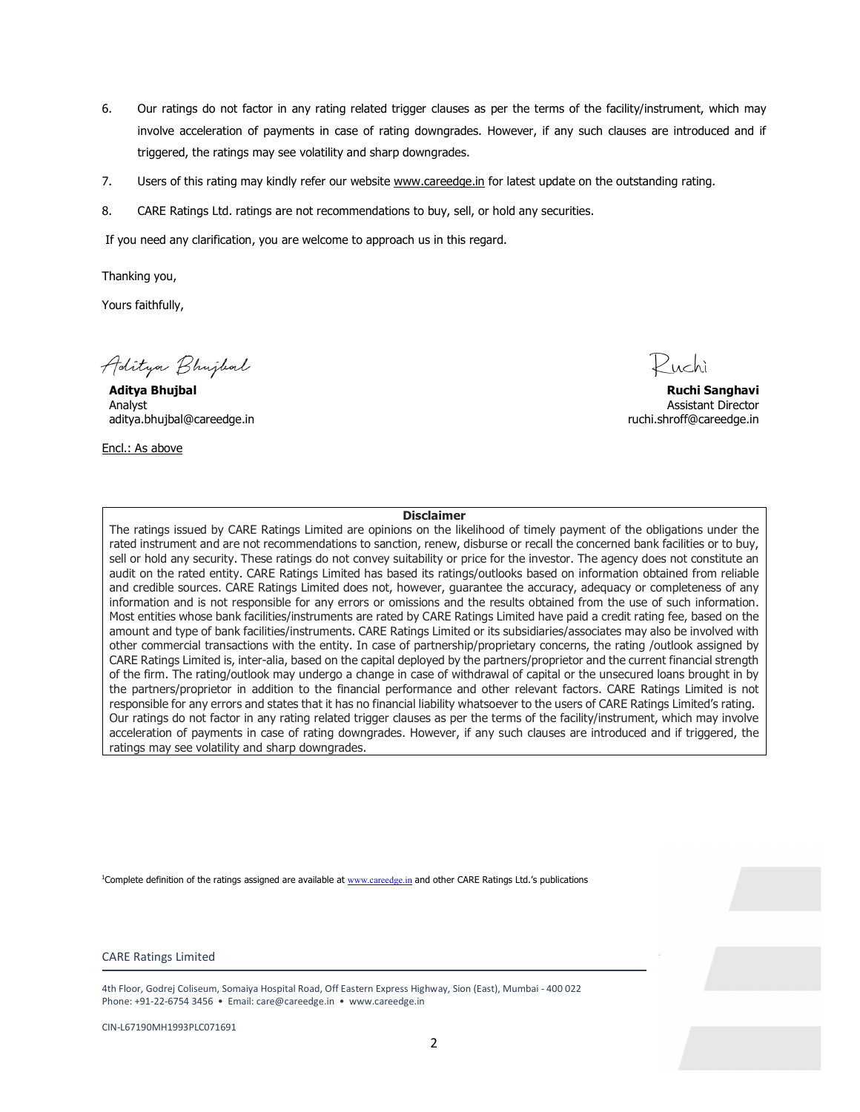- 6. Our ratings do not factor in any rating related trigger clauses as per the terms of the facility/instrument, which may involve acceleration of payments in case of rating downgrades. However, if any such clauses are introduced and if triggered, the ratings may see volatility and sharp downgrades.
- 7. Users of this rating may kindly refer our website www.careedge.in for latest update on the outstanding rating.
- 8. CARE Ratings Ltd. ratings are not recommendations to buy, sell, or hold any securities.

If you need any clarification, you are welcome to approach us in this regard.

Thanking you,

Yours faithfully,

Aditya Bhujbal

Aditya Bhujbal Ruchi Sanghavi Analyst Assistant Director aditya.bhujbal@careedge.in ruchi.shroff@careedge.in

Encl.: As above

 $\mathcal P$ uchì

### Disclaimer

The ratings issued by CARE Ratings Limited are opinions on the likelihood of timely payment of the obligations under the rated instrument and are not recommendations to sanction, renew, disburse or recall the concerned bank facilities or to buy, sell or hold any security. These ratings do not convey suitability or price for the investor. The agency does not constitute an audit on the rated entity. CARE Ratings Limited has based its ratings/outlooks based on information obtained from reliable and credible sources. CARE Ratings Limited does not, however, guarantee the accuracy, adequacy or completeness of any information and is not responsible for any errors or omissions and the results obtained from the use of such information. Most entities whose bank facilities/instruments are rated by CARE Ratings Limited have paid a credit rating fee, based on the amount and type of bank facilities/instruments. CARE Ratings Limited or its subsidiaries/associates may also be involved with other commercial transactions with the entity. In case of partnership/proprietary concerns, the rating /outlook assigned by CARE Ratings Limited is, inter-alia, based on the capital deployed by the partners/proprietor and the current financial strength of the firm. The rating/outlook may undergo a change in case of withdrawal of capital or the unsecured loans brought in by the partners/proprietor in addition to the financial performance and other relevant factors. CARE Ratings Limited is not responsible for any errors and states that it has no financial liability whatsoever to the users of CARE Ratings Limited's rating. Our ratings do not factor in any rating related trigger clauses as per the terms of the facility/instrument, which may involve acceleration of payments in case of rating downgrades. However, if any such clauses are introduced and if triggered, the ratings may see volatility and sharp downgrades.<br>1Complete definition of the ratings assigned are available at <u>www.careedge.in</u> and other CARE Ratings Ltd.'s publications

#### CARE Ratings Limited

4th Floor, Godrej Coliseum, Somaiya Hospital Road, Off Eastern Express Highway, Sion (East), Mumbai - 400 022 Phone: +91-22-6754 3456 • Email: care@careedge.in • www.careedge.in

CIN-L67190MH1993PLC071691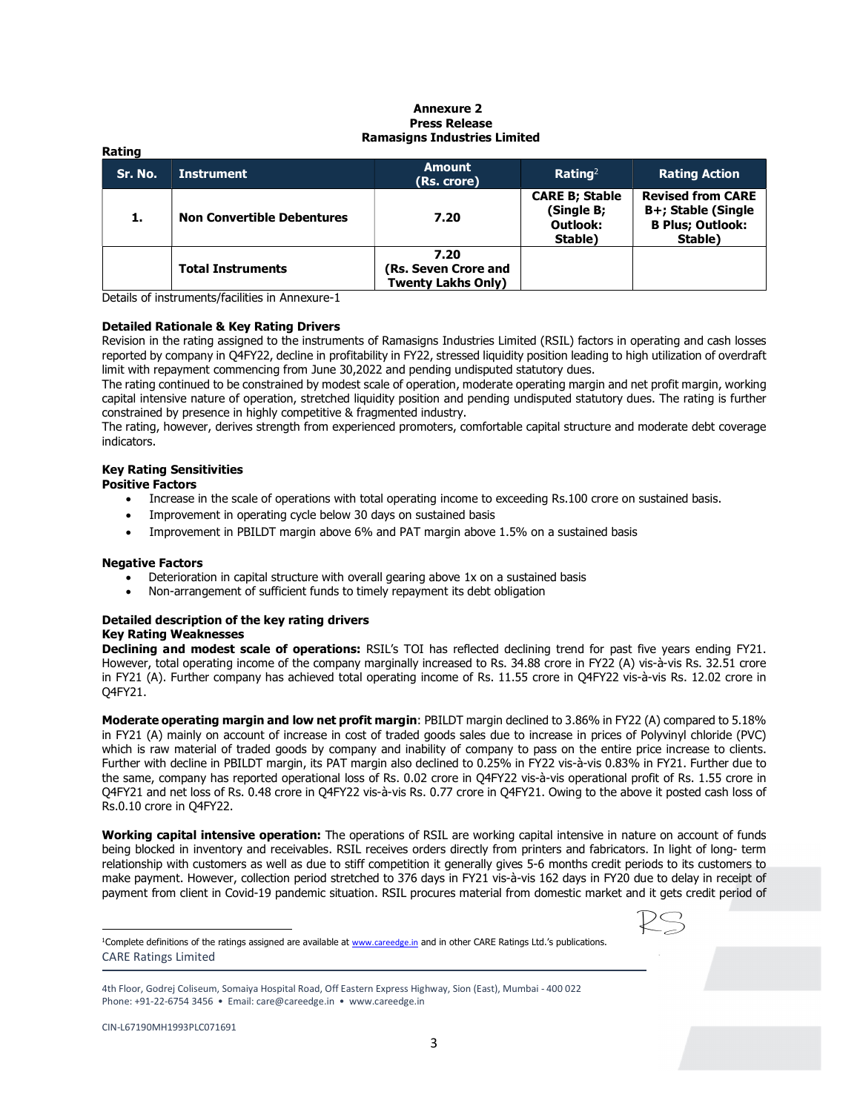#### Annexure 2 Press Release Ramasigns Industries Limited

| nauny   |                                   |                                                           |                                                            |                                                                                      |  |
|---------|-----------------------------------|-----------------------------------------------------------|------------------------------------------------------------|--------------------------------------------------------------------------------------|--|
| Sr. No. | <b>Instrument</b>                 | <b>Amount</b><br>(Rs. crore)                              | Rating <sup>2</sup>                                        | <b>Rating Action</b>                                                                 |  |
| 1.      | <b>Non Convertible Debentures</b> | 7.20                                                      | <b>CARE B; Stable</b><br>(Single B;<br>Outlook:<br>Stable) | <b>Revised from CARE</b><br>B+; Stable (Single<br><b>B Plus; Outlook:</b><br>Stable) |  |
|         | <b>Total Instruments</b>          | 7.20<br>(Rs. Seven Crore and<br><b>Twenty Lakhs Only)</b> |                                                            |                                                                                      |  |

Details of instruments/facilities in Annexure-1

### Detailed Rationale & Key Rating Drivers

Revision in the rating assigned to the instruments of Ramasigns Industries Limited (RSIL) factors in operating and cash losses reported by company in Q4FY22, decline in profitability in FY22, stressed liquidity position leading to high utilization of overdraft limit with repayment commencing from June 30,2022 and pending undisputed statutory dues.

The rating continued to be constrained by modest scale of operation, moderate operating margin and net profit margin, working capital intensive nature of operation, stretched liquidity position and pending undisputed statutory dues. The rating is further constrained by presence in highly competitive & fragmented industry.

The rating, however, derives strength from experienced promoters, comfortable capital structure and moderate debt coverage indicators.

# Key Rating Sensitivities

# Positive Factors

Rating

- Increase in the scale of operations with total operating income to exceeding Rs.100 crore on sustained basis.
- Improvement in operating cycle below 30 days on sustained basis
- Improvement in PBILDT margin above 6% and PAT margin above 1.5% on a sustained basis

### Negative Factors

- Deterioration in capital structure with overall gearing above 1x on a sustained basis
- Non-arrangement of sufficient funds to timely repayment its debt obligation

#### Detailed description of the key rating drivers Key Rating Weaknesses

Declining and modest scale of operations: RSIL's TOI has reflected declining trend for past five years ending FY21. However, total operating income of the company marginally increased to Rs. 34.88 crore in FY22 (A) vis-à-vis Rs. 32.51 crore in FY21 (A). Further company has achieved total operating income of Rs. 11.55 crore in Q4FY22 vis-à-vis Rs. 12.02 crore in Q4FY21.

Moderate operating margin and low net profit margin: PBILDT margin declined to 3.86% in FY22 (A) compared to 5.18% in FY21 (A) mainly on account of increase in cost of traded goods sales due to increase in prices of Polyvinyl chloride (PVC) which is raw material of traded goods by company and inability of company to pass on the entire price increase to clients. Further with decline in PBILDT margin, its PAT margin also declined to 0.25% in FY22 vis-à-vis 0.83% in FY21. Further due to the same, company has reported operational loss of Rs. 0.02 crore in Q4FY22 vis-à-vis operational profit of Rs. 1.55 crore in Q4FY21 and net loss of Rs. 0.48 crore in Q4FY22 vis-à-vis Rs. 0.77 crore in Q4FY21. Owing to the above it posted cash loss of Rs.0.10 crore in Q4FY22.

Working capital intensive operation: The operations of RSIL are working capital intensive in nature on account of funds being blocked in inventory and receivables. RSIL receives orders directly from printers and fabricators. In light of long- term relationship with customers as well as due to stiff competition it generally gives 5-6 months credit periods to its customers to make payment. However, collection period stretched to 376 days in FY21 vis-à-vis 162 days in FY20 due to delay in receipt of payment from client in Covid-19 pandemic situation. RSIL procures material from domestic market and it gets credit period of



CARE Ratings Limited <sup>1</sup>Complete definitions of the ratings assigned are available at www.careedge.in and in other CARE Ratings Ltd.'s publications.

 $\overline{a}$ 

<sup>4</sup>th Floor, Godrej Coliseum, Somaiya Hospital Road, Off Eastern Express Highway, Sion (East), Mumbai - 400 022 Phone: +91-22-6754 3456 • Email: care@careedge.in • www.careedge.in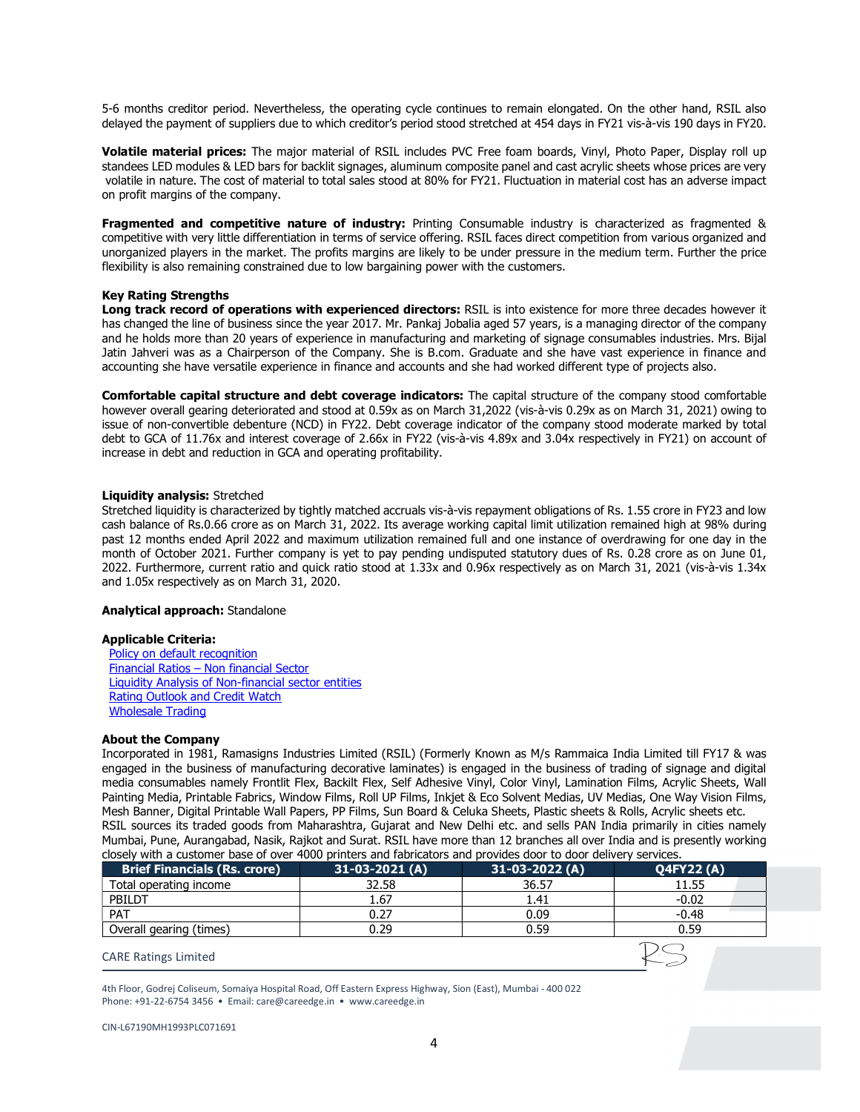5-6 months creditor period. Nevertheless, the operating cycle continues to remain elongated. On the other hand, RSIL also delayed the payment of suppliers due to which creditor's period stood stretched at 454 days in FY21 vis-à-vis 190 days in FY20.

Volatile material prices: The major material of RSIL includes PVC Free foam boards, Vinyl, Photo Paper, Display roll up standees LED modules & LED bars for backlit signages, aluminum composite panel and cast acrylic sheets whose prices are very volatile in nature. The cost of material to total sales stood at 80% for FY21. Fluctuation in material cost has an adverse impact on profit margins of the company.

Fragmented and competitive nature of industry: Printing Consumable industry is characterized as fragmented & competitive with very little differentiation in terms of service offering. RSIL faces direct competition from various organized and unorganized players in the market. The profits margins are likely to be under pressure in the medium term. Further the price flexibility is also remaining constrained due to low bargaining power with the customers.

### Key Rating Strengths

Long track record of operations with experienced directors: RSIL is into existence for more three decades however it has changed the line of business since the year 2017. Mr. Pankaj Jobalia aged 57 years, is a managing director of the company and he holds more than 20 years of experience in manufacturing and marketing of signage consumables industries. Mrs. Bijal Jatin Jahveri was as a Chairperson of the Company. She is B.com. Graduate and she have vast experience in finance and accounting she have versatile experience in finance and accounts and she had worked different type of projects also.

Comfortable capital structure and debt coverage indicators: The capital structure of the company stood comfortable however overall gearing deteriorated and stood at 0.59x as on March 31,2022 (vis-à-vis 0.29x as on March 31, 2021) owing to issue of non-convertible debenture (NCD) in FY22. Debt coverage indicator of the company stood moderate marked by total debt to GCA of 11.76x and interest coverage of 2.66x in FY22 (vis-à-vis 4.89x and 3.04x respectively in FY21) on account of increase in debt and reduction in GCA and operating profitability.

# Liquidity analysis: Stretched

Stretched liquidity is characterized by tightly matched accruals vis-à-vis repayment obligations of Rs. 1.55 crore in FY23 and low cash balance of Rs.0.66 crore as on March 31, 2022. Its average working capital limit utilization remained high at 98% during past 12 months ended April 2022 and maximum utilization remained full and one instance of overdrawing for one day in the month of October 2021. Further company is yet to pay pending undisputed statutory dues of Rs. 0.28 crore as on June 01, 2022. Furthermore, current ratio and quick ratio stood at 1.33x and 0.96x respectively as on March 31, 2021 (vis-à-vis 1.34x and 1.05x respectively as on March 31, 2020.

### Analytical approach: Standalone

### Applicable Criteria:

Policy on default recognition Financial Ratios – Non financial Sector Liquidity Analysis of Non-financial sector entities Rating Outlook and Credit Watch Wholesale Trading

### About the Company

Incorporated in 1981, Ramasigns Industries Limited (RSIL) (Formerly Known as M/s Rammaica India Limited till FY17 & was engaged in the business of manufacturing decorative laminates) is engaged in the business of trading of signage and digital media consumables namely Frontlit Flex, Backilt Flex, Self Adhesive Vinyl, Color Vinyl, Lamination Films, Acrylic Sheets, Wall Painting Media, Printable Fabrics, Window Films, Roll UP Films, Inkjet & Eco Solvent Medias, UV Medias, One Way Vision Films, Mesh Banner, Digital Printable Wall Papers, PP Films, Sun Board & Celuka Sheets, Plastic sheets & Rolls, Acrylic sheets etc. RSIL sources its traded goods from Maharashtra, Gujarat and New Delhi etc. and sells PAN India primarily in cities namely Mumbai, Pune, Aurangabad, Nasik, Rajkot and Surat. RSIL have more than 12 branches all over India and is presently working closely with a customer base of over 4000 printers and fabricators and provides door to door delivery services.

| closely with a castomer base of over 1000 printers and rabitedebis and provides door to door achivery services. |                 |                 |                  |
|-----------------------------------------------------------------------------------------------------------------|-----------------|-----------------|------------------|
| <b>Brief Financials (Rs. crore)</b>                                                                             | $31-03-2021(A)$ | $31-03-2022(A)$ | <b>Q4FY22(A)</b> |
| Total operating income                                                                                          | 32.58           | 36.57           | 11.55            |
| PBILDT                                                                                                          | 1.67            | 1.41            | $-0.02$          |
| PAT                                                                                                             | 0.27            | 0.09            | $-0.48$          |
| Overall gearing (times)                                                                                         | 0.29            | 0.59            | 0.59             |
|                                                                                                                 |                 |                 |                  |

 $\leftarrow$ 

# CARE Ratings Limited

4th Floor, Godrej Coliseum, Somaiya Hospital Road, Off Eastern Express Highway, Sion (East), Mumbai - 400 022 Phone: +91-22-6754 3456 • Email: care@careedge.in • www.careedge.in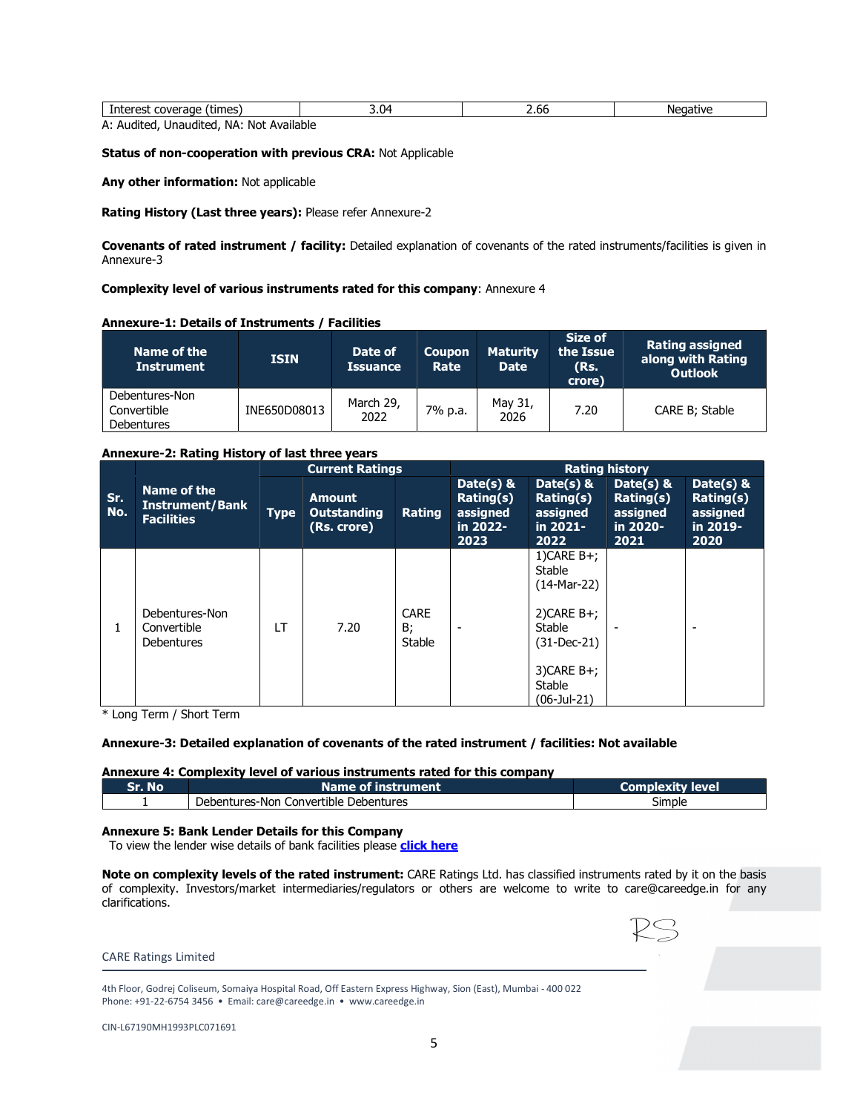| Interest<br>coverage (times) | - 14<br>J.V | 2.00 | <b>Negative</b> |  |  |  |  |  |  |
|------------------------------|-------------|------|-----------------|--|--|--|--|--|--|
| <br>.<br>.                   |             |      |                 |  |  |  |  |  |  |

A: Audited, Unaudited, NA: Not Available

# Status of non-cooperation with previous CRA: Not Applicable

Any other information: Not applicable

Rating History (Last three years): Please refer Annexure-2

Covenants of rated instrument / facility: Detailed explanation of covenants of the rated instruments/facilities is given in Annexure-3

# Complexity level of various instruments rated for this company: Annexure 4

# Annexure-1: Details of Instruments / Facilities

| Name of the<br><b>Instrument</b>            | <b>ISIN</b>  | Date of<br><b>Issuance</b> | <b>Coupon</b><br>Rate | <b>Maturity</b><br><b>Date</b> | Size of<br>the Issue<br>(Rs.<br>crore) | <b>Rating assigned</b><br>along with Rating<br><b>Outlook</b> |
|---------------------------------------------|--------------|----------------------------|-----------------------|--------------------------------|----------------------------------------|---------------------------------------------------------------|
| Debentures-Non<br>Convertible<br>Debentures | INE650D08013 | March 29,<br>2022          | 7% p.a.               | May 31,<br>2026                | 7.20                                   | CARE B: Stable                                                |

# Annexure-2: Rating History of last three years

|            | Name of the<br><b>Instrument/Bank</b><br><b>Facilities</b> | <b>Current Ratings</b> |                                                    |                             | <b>Rating history</b>                                  |                                                                                      |                                                           |                                                                  |  |
|------------|------------------------------------------------------------|------------------------|----------------------------------------------------|-----------------------------|--------------------------------------------------------|--------------------------------------------------------------------------------------|-----------------------------------------------------------|------------------------------------------------------------------|--|
| Sr.<br>No. |                                                            | <b>Type</b>            | <b>Amount</b><br><b>Outstanding</b><br>(Rs. crore) | Rating                      | Date(s) &<br>Rating(s)<br>assigned<br>in 2022-<br>2023 | Date( $s$ ) &<br>Rating(s)<br>assigned<br>in 2021-<br>2022                           | Date(s) $\&$<br>Rating(s)<br>assigned<br>in 2020-<br>2021 | Date(s) $\&$<br><b>Rating(s)</b><br>assigned<br>in 2019-<br>2020 |  |
|            | Debentures-Non<br>Convertible<br>Debentures                | <b>LT</b>              | 7.20                                               | <b>CARE</b><br>B;<br>Stable | $\overline{\phantom{a}}$                               | $1)$ CARE B+;<br>Stable<br>$(14-Mar-22)$<br>$2)$ CARE B+;<br>Stable<br>$(31-Dec-21)$ |                                                           |                                                                  |  |
|            |                                                            |                        |                                                    |                             |                                                        | $3$ )CARE B+;<br>Stable<br>$(06$ -Jul-21)                                            |                                                           |                                                                  |  |

\* Long Term / Short Term

# Annexure-3: Detailed explanation of covenants of the rated instrument / facilities: Not available

# Annexure 4: Complexity level of various instruments rated for this company

| Sr. No | Name of i<br>instrument                         | satv let<br><b>Com</b> .<br>lever |
|--------|-------------------------------------------------|-----------------------------------|
|        | .<br>Debentures-Non<br>Convertible Debentures ( | --<br>Simple                      |

### Annexure 5: Bank Lender Details for this Company

To view the lender wise details of bank facilities please click here

Note on complexity levels of the rated instrument: CARE Ratings Ltd. has classified instruments rated by it on the basis of complexity. Investors/market intermediaries/regulators or others are welcome to write to care@careedge.in for any clarifications.

KS

## CARE Ratings Limited

4th Floor, Godrej Coliseum, Somaiya Hospital Road, Off Eastern Express Highway, Sion (East), Mumbai - 400 022 Phone: +91-22-6754 3456 • Email: care@careedge.in • www.careedge.in

| CIN-L67190MH1993PLC071691 |  |
|---------------------------|--|
|---------------------------|--|